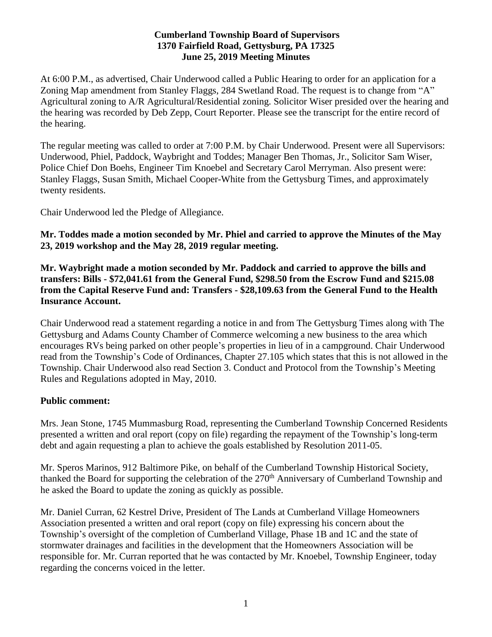#### **Cumberland Township Board of Supervisors 1370 Fairfield Road, Gettysburg, PA 17325 June 25, 2019 Meeting Minutes**

At 6:00 P.M., as advertised, Chair Underwood called a Public Hearing to order for an application for a Zoning Map amendment from Stanley Flaggs, 284 Swetland Road. The request is to change from "A" Agricultural zoning to A/R Agricultural/Residential zoning. Solicitor Wiser presided over the hearing and the hearing was recorded by Deb Zepp, Court Reporter. Please see the transcript for the entire record of the hearing.

The regular meeting was called to order at 7:00 P.M. by Chair Underwood. Present were all Supervisors: Underwood, Phiel, Paddock, Waybright and Toddes; Manager Ben Thomas, Jr., Solicitor Sam Wiser, Police Chief Don Boehs, Engineer Tim Knoebel and Secretary Carol Merryman. Also present were: Stanley Flaggs, Susan Smith, Michael Cooper-White from the Gettysburg Times, and approximately twenty residents.

Chair Underwood led the Pledge of Allegiance.

**Mr. Toddes made a motion seconded by Mr. Phiel and carried to approve the Minutes of the May 23, 2019 workshop and the May 28, 2019 regular meeting.**

**Mr. Waybright made a motion seconded by Mr. Paddock and carried to approve the bills and transfers: Bills - \$72,041.61 from the General Fund, \$298.50 from the Escrow Fund and \$215.08 from the Capital Reserve Fund and: Transfers - \$28,109.63 from the General Fund to the Health Insurance Account.**

Chair Underwood read a statement regarding a notice in and from The Gettysburg Times along with The Gettysburg and Adams County Chamber of Commerce welcoming a new business to the area which encourages RVs being parked on other people's properties in lieu of in a campground. Chair Underwood read from the Township's Code of Ordinances, Chapter 27.105 which states that this is not allowed in the Township. Chair Underwood also read Section 3. Conduct and Protocol from the Township's Meeting Rules and Regulations adopted in May, 2010.

### **Public comment:**

Mrs. Jean Stone, 1745 Mummasburg Road, representing the Cumberland Township Concerned Residents presented a written and oral report (copy on file) regarding the repayment of the Township's long-term debt and again requesting a plan to achieve the goals established by Resolution 2011-05.

Mr. Speros Marinos, 912 Baltimore Pike, on behalf of the Cumberland Township Historical Society, thanked the Board for supporting the celebration of the 270<sup>th</sup> Anniversary of Cumberland Township and he asked the Board to update the zoning as quickly as possible.

Mr. Daniel Curran, 62 Kestrel Drive, President of The Lands at Cumberland Village Homeowners Association presented a written and oral report (copy on file) expressing his concern about the Township's oversight of the completion of Cumberland Village, Phase 1B and 1C and the state of stormwater drainages and facilities in the development that the Homeowners Association will be responsible for. Mr. Curran reported that he was contacted by Mr. Knoebel, Township Engineer, today regarding the concerns voiced in the letter.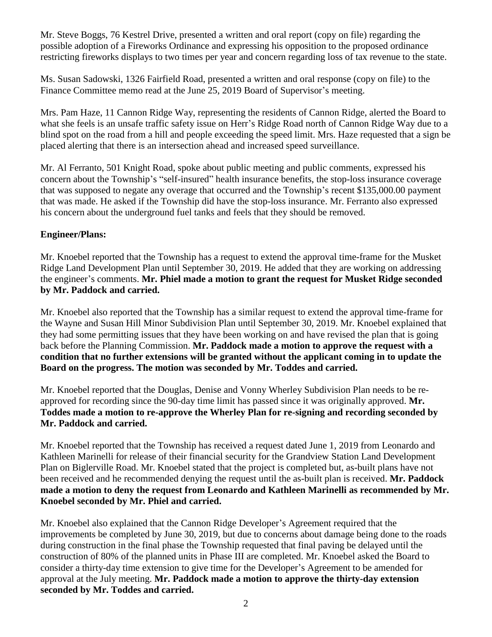Mr. Steve Boggs, 76 Kestrel Drive, presented a written and oral report (copy on file) regarding the possible adoption of a Fireworks Ordinance and expressing his opposition to the proposed ordinance restricting fireworks displays to two times per year and concern regarding loss of tax revenue to the state.

Ms. Susan Sadowski, 1326 Fairfield Road, presented a written and oral response (copy on file) to the Finance Committee memo read at the June 25, 2019 Board of Supervisor's meeting.

Mrs. Pam Haze, 11 Cannon Ridge Way, representing the residents of Cannon Ridge, alerted the Board to what she feels is an unsafe traffic safety issue on Herr's Ridge Road north of Cannon Ridge Way due to a blind spot on the road from a hill and people exceeding the speed limit. Mrs. Haze requested that a sign be placed alerting that there is an intersection ahead and increased speed surveillance.

Mr. Al Ferranto, 501 Knight Road, spoke about public meeting and public comments, expressed his concern about the Township's "self-insured" health insurance benefits, the stop-loss insurance coverage that was supposed to negate any overage that occurred and the Township's recent \$135,000.00 payment that was made. He asked if the Township did have the stop-loss insurance. Mr. Ferranto also expressed his concern about the underground fuel tanks and feels that they should be removed.

## **Engineer/Plans:**

Mr. Knoebel reported that the Township has a request to extend the approval time-frame for the Musket Ridge Land Development Plan until September 30, 2019. He added that they are working on addressing the engineer's comments. **Mr. Phiel made a motion to grant the request for Musket Ridge seconded by Mr. Paddock and carried.**

Mr. Knoebel also reported that the Township has a similar request to extend the approval time-frame for the Wayne and Susan Hill Minor Subdivision Plan until September 30, 2019. Mr. Knoebel explained that they had some permitting issues that they have been working on and have revised the plan that is going back before the Planning Commission. **Mr. Paddock made a motion to approve the request with a condition that no further extensions will be granted without the applicant coming in to update the Board on the progress. The motion was seconded by Mr. Toddes and carried.**

Mr. Knoebel reported that the Douglas, Denise and Vonny Wherley Subdivision Plan needs to be reapproved for recording since the 90-day time limit has passed since it was originally approved. **Mr. Toddes made a motion to re-approve the Wherley Plan for re-signing and recording seconded by Mr. Paddock and carried.** 

Mr. Knoebel reported that the Township has received a request dated June 1, 2019 from Leonardo and Kathleen Marinelli for release of their financial security for the Grandview Station Land Development Plan on Biglerville Road. Mr. Knoebel stated that the project is completed but, as-built plans have not been received and he recommended denying the request until the as-built plan is received. **Mr. Paddock made a motion to deny the request from Leonardo and Kathleen Marinelli as recommended by Mr. Knoebel seconded by Mr. Phiel and carried.**

Mr. Knoebel also explained that the Cannon Ridge Developer's Agreement required that the improvements be completed by June 30, 2019, but due to concerns about damage being done to the roads during construction in the final phase the Township requested that final paving be delayed until the construction of 80% of the planned units in Phase III are completed. Mr. Knoebel asked the Board to consider a thirty-day time extension to give time for the Developer's Agreement to be amended for approval at the July meeting. **Mr. Paddock made a motion to approve the thirty-day extension seconded by Mr. Toddes and carried.**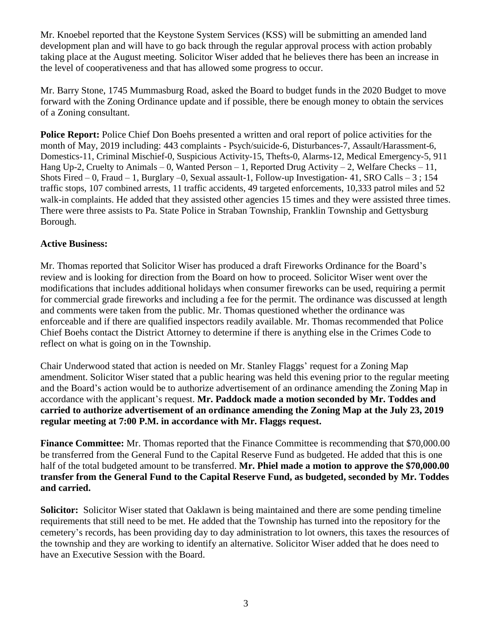Mr. Knoebel reported that the Keystone System Services (KSS) will be submitting an amended land development plan and will have to go back through the regular approval process with action probably taking place at the August meeting. Solicitor Wiser added that he believes there has been an increase in the level of cooperativeness and that has allowed some progress to occur.

Mr. Barry Stone, 1745 Mummasburg Road, asked the Board to budget funds in the 2020 Budget to move forward with the Zoning Ordinance update and if possible, there be enough money to obtain the services of a Zoning consultant.

**Police Report:** Police Chief Don Boehs presented a written and oral report of police activities for the month of May, 2019 including: 443 complaints - Psych/suicide-6, Disturbances-7, Assault/Harassment-6, Domestics-11, Criminal Mischief-0, Suspicious Activity-15, Thefts-0, Alarms-12, Medical Emergency-5, 911 Hang Up-2, Cruelty to Animals – 0, Wanted Person – 1, Reported Drug Activity – 2, Welfare Checks – 11, Shots Fired  $-0$ , Fraud  $-1$ , Burglary  $-0$ , Sexual assault-1, Follow-up Investigation-41, SRO Calls  $-3$ ; 154 traffic stops, 107 combined arrests, 11 traffic accidents, 49 targeted enforcements, 10,333 patrol miles and 52 walk-in complaints. He added that they assisted other agencies 15 times and they were assisted three times. There were three assists to Pa. State Police in Straban Township, Franklin Township and Gettysburg Borough.

### **Active Business:**

Mr. Thomas reported that Solicitor Wiser has produced a draft Fireworks Ordinance for the Board's review and is looking for direction from the Board on how to proceed. Solicitor Wiser went over the modifications that includes additional holidays when consumer fireworks can be used, requiring a permit for commercial grade fireworks and including a fee for the permit. The ordinance was discussed at length and comments were taken from the public. Mr. Thomas questioned whether the ordinance was enforceable and if there are qualified inspectors readily available. Mr. Thomas recommended that Police Chief Boehs contact the District Attorney to determine if there is anything else in the Crimes Code to reflect on what is going on in the Township.

Chair Underwood stated that action is needed on Mr. Stanley Flaggs' request for a Zoning Map amendment. Solicitor Wiser stated that a public hearing was held this evening prior to the regular meeting and the Board's action would be to authorize advertisement of an ordinance amending the Zoning Map in accordance with the applicant's request. **Mr. Paddock made a motion seconded by Mr. Toddes and carried to authorize advertisement of an ordinance amending the Zoning Map at the July 23, 2019 regular meeting at 7:00 P.M. in accordance with Mr. Flaggs request.**

**Finance Committee:** Mr. Thomas reported that the Finance Committee is recommending that \$70,000.00 be transferred from the General Fund to the Capital Reserve Fund as budgeted. He added that this is one half of the total budgeted amount to be transferred. **Mr. Phiel made a motion to approve the \$70,000.00 transfer from the General Fund to the Capital Reserve Fund, as budgeted, seconded by Mr. Toddes and carried.**

**Solicitor:** Solicitor Wiser stated that Oaklawn is being maintained and there are some pending timeline requirements that still need to be met. He added that the Township has turned into the repository for the cemetery's records, has been providing day to day administration to lot owners, this taxes the resources of the township and they are working to identify an alternative. Solicitor Wiser added that he does need to have an Executive Session with the Board.